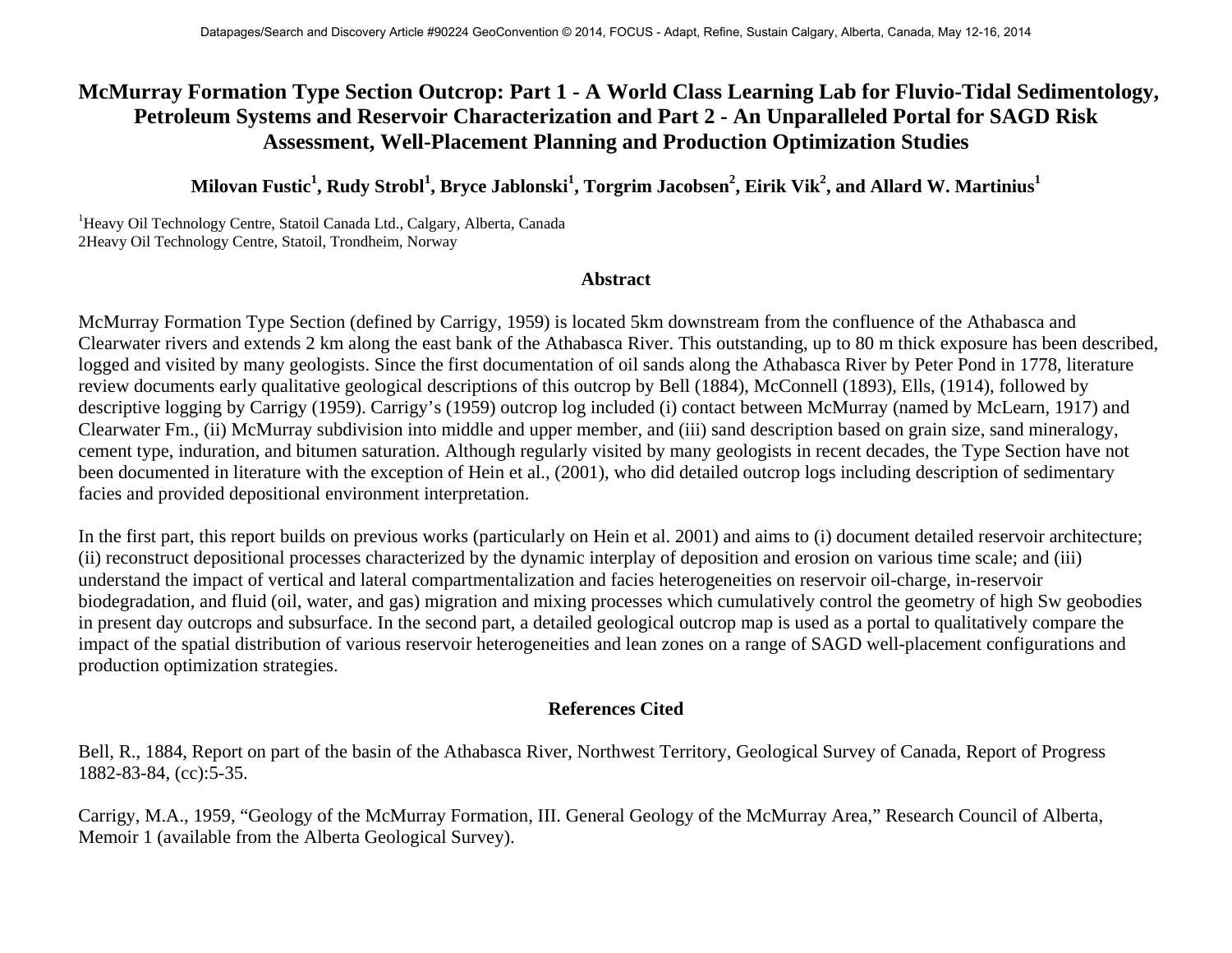## **McMurray Formation Type Section Outcrop: Part 1 - A World Class Learning Lab for Fluvio-Tidal Sedimentology, Petroleum Systems and Reservoir Characterization and Part 2 - An Unparalleled Portal for SAGD Risk Assessment, Well-Placement Planning and Production Optimization Studies**

 ${\bf Milovan\, Fustic}^1,$   ${\bf Rudy\, Strobl}^1,$   ${\bf Bryce\, Jablonski}^1,$   ${\bf Torgrim\, Jacobsen}^2,$   ${\bf Eirik\, Vik}^2,$  and Allard W.  ${\bf Martinius}^1$ 

<sup>1</sup>Heavy Oil Technology Centre, Statoil Canada Ltd., Calgary, Alberta, Canada 2Heavy Oil Technology Centre, Statoil, Trondheim, Norway

## **Abstract**

McMurray Formation Type Section (defined by Carrigy, 1959) is located 5km downstream from the confluence of the Athabasca and Clearwater rivers and extends 2 km along the east bank of the Athabasca River. This outstanding, up to 80 m thick exposure has been described, logged and visited by many geologists. Since the first documentation of oil sands along the Athabasca River by Peter Pond in 1778, literature review documents early qualitative geological descriptions of this outcrop by Bell (1884), McConnell (1893), Ells, (1914), followed by descriptive logging by Carrigy (1959). Carrigy's (1959) outcrop log included (i) contact between McMurray (named by McLearn, 1917) and Clearwater Fm., (ii) McMurray subdivision into middle and upper member, and (iii) sand description based on grain size, sand mineralogy, cement type, induration, and bitumen saturation. Although regularly visited by many geologists in recent decades, the Type Section have not been documented in literature with the exception of Hein et al., (2001), who did detailed outcrop logs including description of sedimentary facies and provided depositional environment interpretation.

In the first part, this report builds on previous works (particularly on Hein et al. 2001) and aims to (i) document detailed reservoir architecture; (ii) reconstruct depositional processes characterized by the dynamic interplay of deposition and erosion on various time scale; and (iii) understand the impact of vertical and lateral compartmentalization and facies heterogeneities on reservoir oil-charge, in-reservoir biodegradation, and fluid (oil, water, and gas) migration and mixing processes which cumulatively control the geometry of high Sw geobodies in present day outcrops and subsurface. In the second part, a detailed geological outcrop map is used as a portal to qualitatively compare the impact of the spatial distribution of various reservoir heterogeneities and lean zones on a range of SAGD well-placement configurations and production optimization strategies.

## **References Cited**

Bell, R., 1884, Report on part of the basin of the Athabasca River, Northwest Territory, Geological Survey of Canada, Report of Progress 1882-83-84, (cc):5-35.

Carrigy, M.A., 1959, "Geology of the McMurray Formation, III. General Geology of the McMurray Area," Research Council of Alberta, Memoir 1 (available from the Alberta Geological Survey).